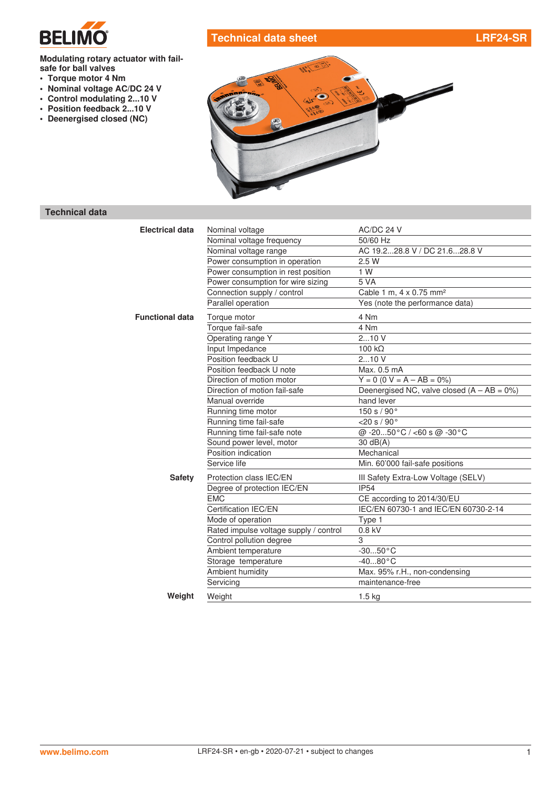

# **Technical data sheet LRF24-SR**

#### **Modulating rotary actuator with failsafe for ball valves**

- **• Torque motor 4 Nm**
- **• Nominal voltage AC/DC 24 V**
- **• Control modulating 2...10 V**
- **• Position feedback 2...10 V**
- **• Deenergised closed (NC)**



#### **Technical data**

| <b>Electrical data</b> | Nominal voltage                        | AC/DC 24 V                                    |
|------------------------|----------------------------------------|-----------------------------------------------|
|                        | Nominal voltage frequency              | 50/60 Hz                                      |
|                        | Nominal voltage range                  | AC 19.228.8 V / DC 21.628.8 V                 |
|                        | Power consumption in operation         | 2.5 W                                         |
|                        | Power consumption in rest position     | 1 W                                           |
|                        | Power consumption for wire sizing      | 5 VA                                          |
|                        | Connection supply / control            | Cable 1 m, 4 x 0.75 mm <sup>2</sup>           |
|                        | Parallel operation                     | Yes (note the performance data)               |
| <b>Functional data</b> | Torque motor                           | 4 Nm                                          |
|                        | Torque fail-safe                       | 4 Nm                                          |
|                        | Operating range Y                      | 210V                                          |
|                        | Input Impedance                        | $100 k\Omega$                                 |
|                        | Position feedback U                    | 210V                                          |
|                        | Position feedback U note               | Max. 0.5 mA                                   |
|                        | Direction of motion motor              | $Y = 0$ (0 V = A - AB = 0%)                   |
|                        | Direction of motion fail-safe          | Deenergised NC, valve closed $(A - AB = 0\%)$ |
|                        | Manual override                        | hand lever                                    |
|                        | Running time motor                     | 150 s / 90°                                   |
|                        | Running time fail-safe                 | $<$ 20 s / 90 $^{\circ}$                      |
|                        | Running time fail-safe note            | @-2050°C / <60 s @-30°C                       |
|                        | Sound power level, motor               | $30 \text{ dB}(A)$                            |
|                        | Position indication                    | Mechanical                                    |
|                        | Service life                           | Min. 60'000 fail-safe positions               |
| <b>Safety</b>          | Protection class IEC/EN                | III Safety Extra-Low Voltage (SELV)           |
|                        | Degree of protection IEC/EN            | <b>IP54</b>                                   |
|                        | <b>EMC</b>                             | CE according to 2014/30/EU                    |
|                        | Certification IEC/EN                   | IEC/EN 60730-1 and IEC/EN 60730-2-14          |
|                        | Mode of operation                      | Type 1                                        |
|                        | Rated impulse voltage supply / control | 0.8 kV                                        |
|                        | Control pollution degree               | 3                                             |
|                        | Ambient temperature                    | $-3050 °C$                                    |
|                        | Storage temperature                    | $-4080 °C$                                    |
|                        | Ambient humidity                       | Max. 95% r.H., non-condensing                 |
|                        | Servicing                              | maintenance-free                              |
| Weight                 | Weight                                 | $1.5$ kg                                      |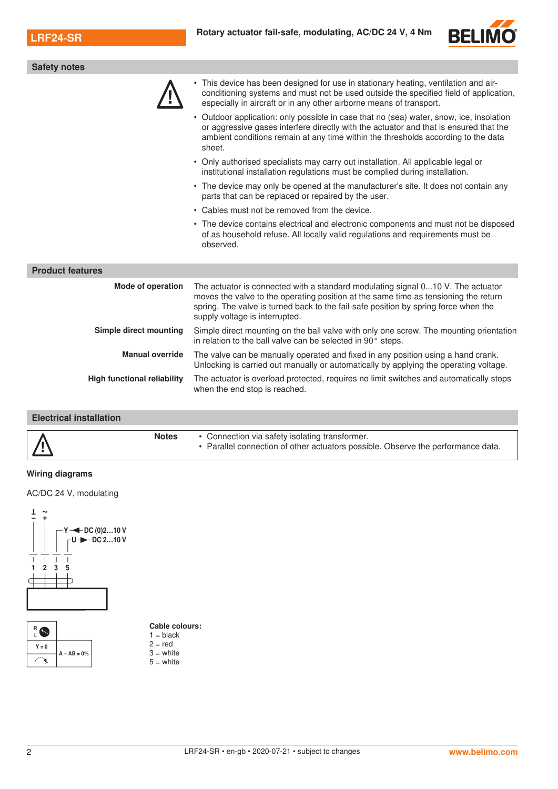

| <b>Safety notes</b>                |                                                                                                                                                                                                                                                                                                 |
|------------------------------------|-------------------------------------------------------------------------------------------------------------------------------------------------------------------------------------------------------------------------------------------------------------------------------------------------|
|                                    | This device has been designed for use in stationary heating, ventilation and air-<br>conditioning systems and must not be used outside the specified field of application,<br>especially in aircraft or in any other airborne means of transport.                                               |
|                                    | • Outdoor application: only possible in case that no (sea) water, snow, ice, insolation<br>or aggressive gases interfere directly with the actuator and that is ensured that the<br>ambient conditions remain at any time within the thresholds according to the data<br>sheet.                 |
|                                    | • Only authorised specialists may carry out installation. All applicable legal or<br>institutional installation regulations must be complied during installation.                                                                                                                               |
|                                    | • The device may only be opened at the manufacturer's site. It does not contain any<br>parts that can be replaced or repaired by the user.                                                                                                                                                      |
|                                    | • Cables must not be removed from the device.                                                                                                                                                                                                                                                   |
|                                    | • The device contains electrical and electronic components and must not be disposed<br>of as household refuse. All locally valid regulations and requirements must be<br>observed.                                                                                                              |
| <b>Product features</b>            |                                                                                                                                                                                                                                                                                                 |
| <b>Mode of operation</b>           | The actuator is connected with a standard modulating signal 010 V. The actuator<br>moves the valve to the operating position at the same time as tensioning the return<br>spring. The valve is turned back to the fail-safe position by spring force when the<br>supply voltage is interrupted. |
| Simple direct mounting             | Simple direct mounting on the ball valve with only one screw. The mounting orientation<br>in relation to the ball valve can be selected in 90° steps.                                                                                                                                           |
| <b>Manual override</b>             | The valve can be manually operated and fixed in any position using a hand crank.<br>Unlocking is carried out manually or automatically by applying the operating voltage.                                                                                                                       |
| <b>High functional reliability</b> | The actuator is overload protected, requires no limit switches and automatically stops<br>when the end stop is reached.                                                                                                                                                                         |
|                                    |                                                                                                                                                                                                                                                                                                 |

## **Electrical installation**

#### **Wiring diagrams**

AC/DC 24 V, modulating





| Cable colours: |  |  |  |
|----------------|--|--|--|
| $1 =$ black    |  |  |  |

2 = red 3 = white

 $5 =$  white